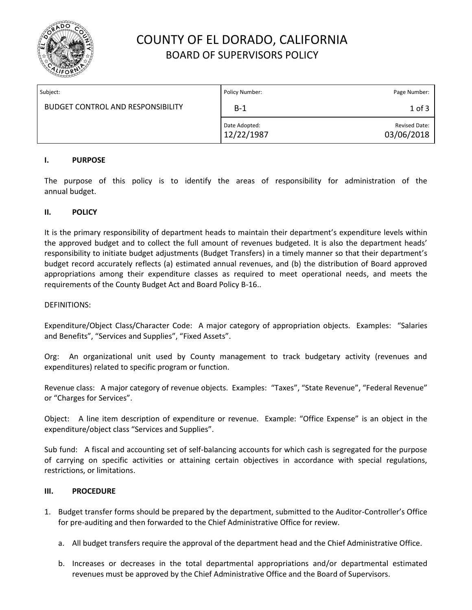

## COUNTY OF EL DORADO, CALIFORNIA BOARD OF SUPERVISORS POLICY

| Subject:                                 | Policy Number:              | Page Number:                |
|------------------------------------------|-----------------------------|-----------------------------|
| <b>BUDGET CONTROL AND RESPONSIBILITY</b> | $B-1$                       | $1$ of $3$                  |
|                                          | Date Adopted:<br>12/22/1987 | Revised Date:<br>03/06/2018 |

### **I. PURPOSE**

The purpose of this policy is to identify the areas of responsibility for administration of the annual budget.

#### **II. POLICY**

It is the primary responsibility of department heads to maintain their department's expenditure levels within the approved budget and to collect the full amount of revenues budgeted. It is also the department heads' responsibility to initiate budget adjustments (Budget Transfers) in a timely manner so that their department's budget record accurately reflects (a) estimated annual revenues, and (b) the distribution of Board approved appropriations among their expenditure classes as required to meet operational needs, and meets the requirements of the County Budget Act and Board Policy B-16..

#### DEFINITIONS:

Expenditure/Object Class/Character Code: A major category of appropriation objects. Examples: "Salaries and Benefits", "Services and Supplies", "Fixed Assets".

Org: An organizational unit used by County management to track budgetary activity (revenues and expenditures) related to specific program or function.

Revenue class: A major category of revenue objects. Examples: "Taxes", "State Revenue", "Federal Revenue" or "Charges for Services".

Object: A line item description of expenditure or revenue. Example: "Office Expense" is an object in the expenditure/object class "Services and Supplies".

Sub fund: A fiscal and accounting set of self-balancing accounts for which cash is segregated for the purpose of carrying on specific activities or attaining certain objectives in accordance with special regulations, restrictions, or limitations.

### **III. PROCEDURE**

- 1. Budget transfer forms should be prepared by the department, submitted to the Auditor-Controller's Office for pre-auditing and then forwarded to the Chief Administrative Office for review.
	- a. All budget transfers require the approval of the department head and the Chief Administrative Office.
	- b. Increases or decreases in the total departmental appropriations and/or departmental estimated revenues must be approved by the Chief Administrative Office and the Board of Supervisors.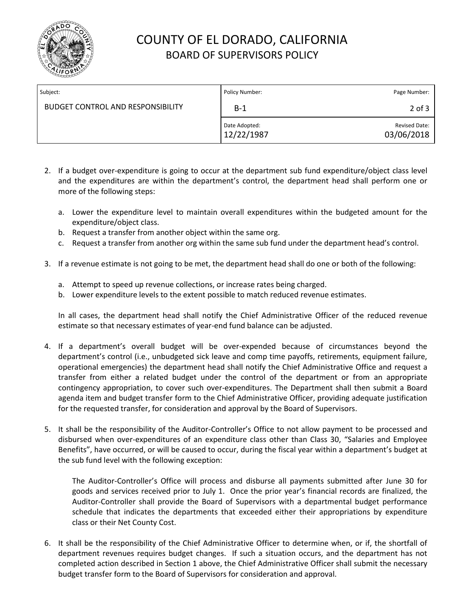

# COUNTY OF EL DORADO, CALIFORNIA BOARD OF SUPERVISORS POLICY

| Subject:                                 | Policy Number:              | Page Number:                       |
|------------------------------------------|-----------------------------|------------------------------------|
| <b>BUDGET CONTROL AND RESPONSIBILITY</b> | $B-1$                       | $2$ of $3$                         |
|                                          | Date Adopted:<br>12/22/1987 | <b>Revised Date:</b><br>03/06/2018 |

- 2. If a budget over-expenditure is going to occur at the department sub fund expenditure/object class level and the expenditures are within the department's control, the department head shall perform one or more of the following steps:
	- a. Lower the expenditure level to maintain overall expenditures within the budgeted amount for the expenditure/object class.
	- b. Request a transfer from another object within the same org.
	- c. Request a transfer from another org within the same sub fund under the department head's control.
- 3. If a revenue estimate is not going to be met, the department head shall do one or both of the following:
	- a. Attempt to speed up revenue collections, or increase rates being charged.
	- b. Lower expenditure levels to the extent possible to match reduced revenue estimates.

In all cases, the department head shall notify the Chief Administrative Officer of the reduced revenue estimate so that necessary estimates of year-end fund balance can be adjusted.

- 4. If a department's overall budget will be over-expended because of circumstances beyond the department's control (i.e., unbudgeted sick leave and comp time payoffs, retirements, equipment failure, operational emergencies) the department head shall notify the Chief Administrative Office and request a transfer from either a related budget under the control of the department or from an appropriate contingency appropriation, to cover such over-expenditures. The Department shall then submit a Board agenda item and budget transfer form to the Chief Administrative Officer, providing adequate justification for the requested transfer, for consideration and approval by the Board of Supervisors.
- 5. It shall be the responsibility of the Auditor-Controller's Office to not allow payment to be processed and disbursed when over-expenditures of an expenditure class other than Class 30, "Salaries and Employee Benefits", have occurred, or will be caused to occur, during the fiscal year within a department's budget at the sub fund level with the following exception:

The Auditor-Controller's Office will process and disburse all payments submitted after June 30 for goods and services received prior to July 1. Once the prior year's financial records are finalized, the Auditor-Controller shall provide the Board of Supervisors with a departmental budget performance schedule that indicates the departments that exceeded either their appropriations by expenditure class or their Net County Cost.

6. It shall be the responsibility of the Chief Administrative Officer to determine when, or if, the shortfall of department revenues requires budget changes. If such a situation occurs, and the department has not completed action described in Section 1 above, the Chief Administrative Officer shall submit the necessary budget transfer form to the Board of Supervisors for consideration and approval.